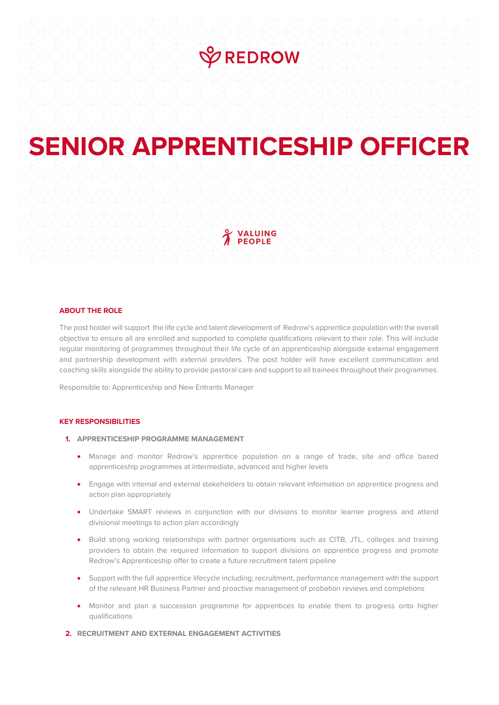# **VREDROW**

# **SENIOR APPRENTICESHIP OFFICER**

# VALUING **PEOPLE**

# **ABOUT THE ROLE**

The post holder will support the life cycle and talent development of Redrow's apprentice population with the overall objective to ensure all are enrolled and supported to complete qualifications relevant to their role. This will include regular monitoring of programmes throughout their life cycle of an apprenticeship alongside external engagement and partnership development with external providers. The post holder will have excellent communication and coaching skills alongside the ability to provide pastoral care and support to all trainees throughout their programmes.

Responsible to: Apprenticeship and New Entrants Manager

#### **KEY RESPONSIBILITIES**

# **1. APPRENTICESHIP PROGRAMME MANAGEMENT**

- Manage and monitor Redrow's apprentice population on a range of trade, site and office based apprenticeship programmes at intermediate, advanced and higher levels
- Engage with internal and external stakeholders to obtain relevant information on apprentice progress and action plan appropriately
- Undertake SMART reviews in conjunction with our divisions to monitor learner progress and attend divisional meetings to action plan accordingly
- Build strong working relationships with partner organisations such as CITB, JTL, colleges and training providers to obtain the required information to support divisions on apprentice progress and promote Redrow's Apprenticeship offer to create a future recruitment talent pipeline
- Support with the full apprentice lifecycle including; recruitment, performance management with the support of the relevant HR Business Partner and proactive management of probation reviews and completions
- Monitor and plan a succession programme for apprentices to enable them to progress onto higher qualifications
- **2. RECRUITMENT AND EXTERNAL ENGAGEMENT ACTIVITIES**